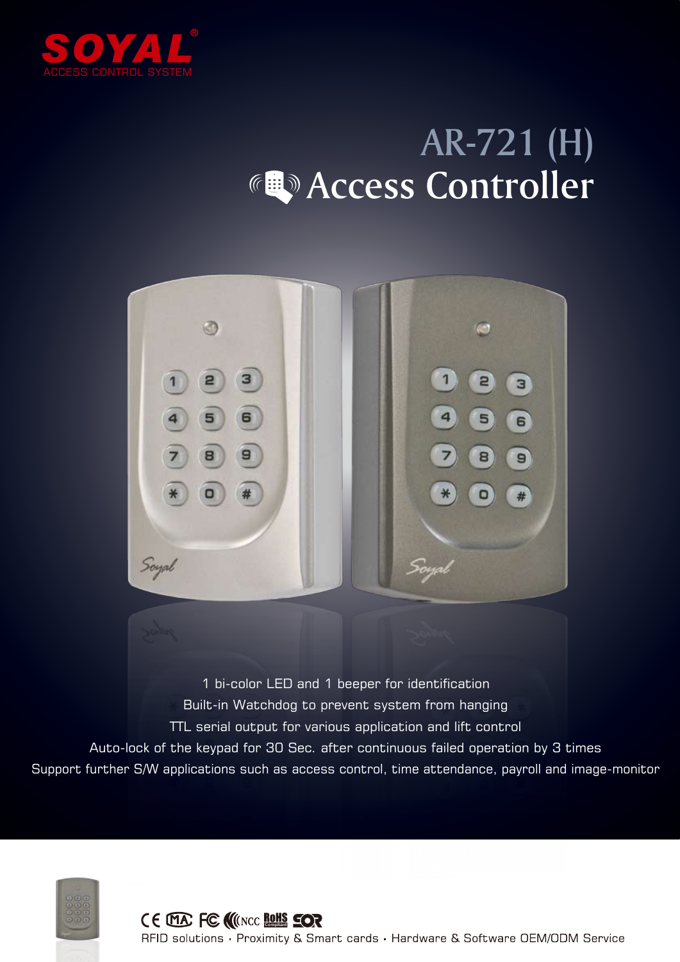

## AR-721 (H) **Access Controller**



1 bi-color LED and 1 beeper for identification Built-in Watchdog to prevent system from hanging TTL serial output for various application and lift control Auto-lock of the keypad for 30 Sec. after continuous failed operation by 3 times Support further S/W applications such as access control, time attendance, payroll and image-monitor



RFID solutions · Proximity & Smart cards · Hardware & Software OEM/ODM Service